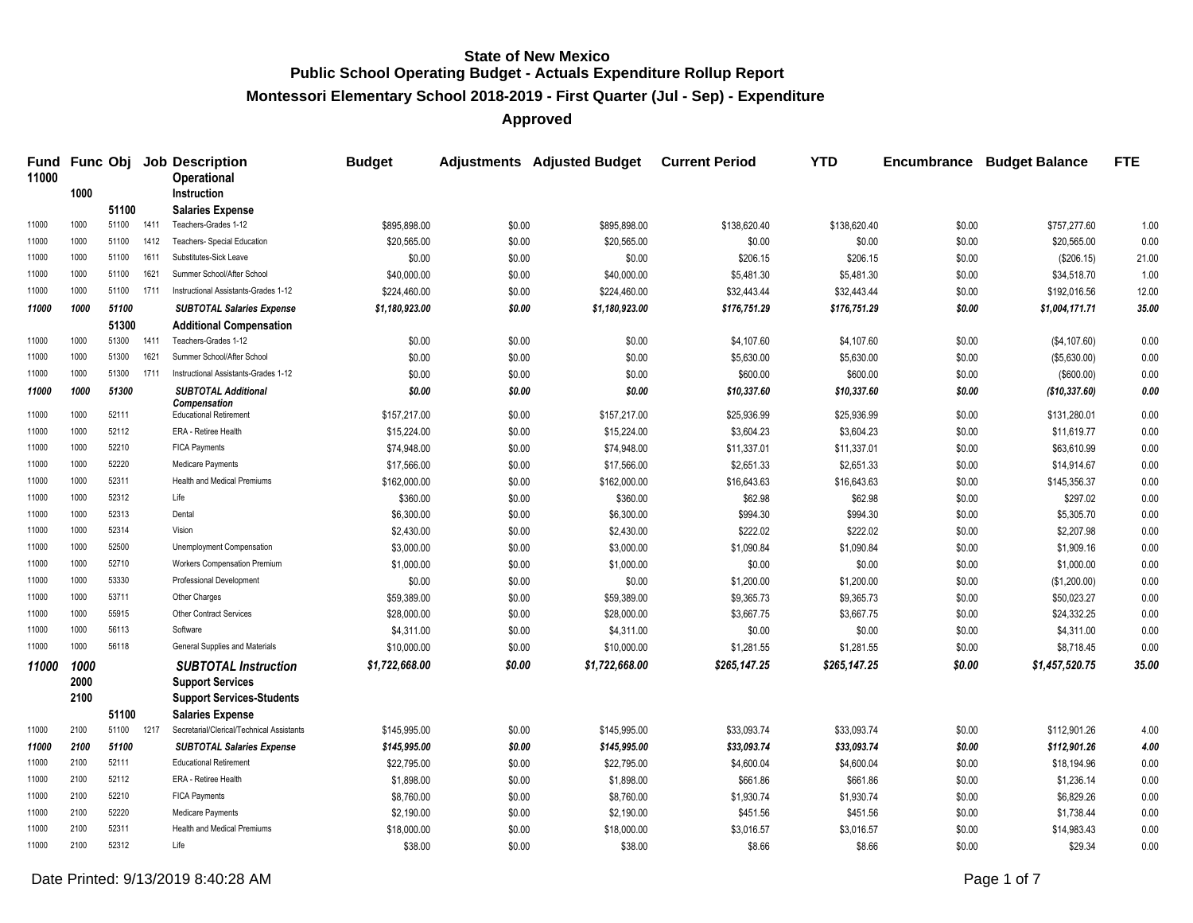**Montessori Elementary School 2018-2019 - First Quarter (Jul - Sep) - Expenditure**

**Approved**

| 11000 |      |       |      | Fund Func Obj Job Description<br>Operational | <b>Budget</b>  |        | Adjustments Adjusted Budget Current Period |              | <b>YTD</b>   | <b>Encumbrance</b> | <b>Budget Balance</b> | <b>FTE</b> |
|-------|------|-------|------|----------------------------------------------|----------------|--------|--------------------------------------------|--------------|--------------|--------------------|-----------------------|------------|
|       | 1000 |       |      | <b>Instruction</b>                           |                |        |                                            |              |              |                    |                       |            |
|       |      | 51100 |      | <b>Salaries Expense</b>                      |                |        |                                            |              |              |                    |                       |            |
| 11000 | 1000 | 51100 | 1411 | Teachers-Grades 1-12                         | \$895,898.00   | \$0.00 | \$895,898.00                               | \$138,620.40 | \$138,620.40 | \$0.00             | \$757,277.60          | 1.00       |
| 11000 | 1000 | 51100 | 1412 | Teachers- Special Education                  | \$20,565.00    | \$0.00 | \$20,565.00                                | \$0.00       | \$0.00       | \$0.00             | \$20,565.00           | 0.00       |
| 11000 | 1000 | 51100 | 1611 | Substitutes-Sick Leave                       | \$0.00         | \$0.00 | \$0.00                                     | \$206.15     | \$206.15     | \$0.00             | (\$206.15)            | 21.00      |
| 11000 | 1000 | 51100 | 1621 | Summer School/After School                   | \$40,000.00    | \$0.00 | \$40,000.00                                | \$5,481.30   | \$5,481.30   | \$0.00             | \$34,518.70           | 1.00       |
| 11000 | 1000 | 51100 | 1711 | Instructional Assistants-Grades 1-12         | \$224,460.00   | \$0.00 | \$224,460.00                               | \$32,443.44  | \$32,443.44  | \$0.00             | \$192,016.56          | 12.00      |
| 11000 | 1000 | 51100 |      | <b>SUBTOTAL Salaries Expense</b>             | \$1,180,923.00 | \$0.00 | \$1,180,923.00                             | \$176,751.29 | \$176,751.29 | \$0.00             | \$1,004,171.71        | 35.00      |
|       |      | 51300 |      | <b>Additional Compensation</b>               |                |        |                                            |              |              |                    |                       |            |
| 11000 | 1000 | 51300 | 1411 | Teachers-Grades 1-12                         | \$0.00         | \$0.00 | \$0.00                                     | \$4,107.60   | \$4,107.60   | \$0.00             | (\$4,107.60)          | 0.00       |
| 11000 | 1000 | 51300 | 1621 | Summer School/After School                   | \$0.00         | \$0.00 | \$0.00                                     | \$5,630.00   | \$5,630.00   | \$0.00             | (\$5,630.00)          | 0.00       |
| 11000 | 1000 | 51300 | 1711 | Instructional Assistants-Grades 1-12         | \$0.00         | \$0.00 | \$0.00                                     | \$600.00     | \$600.00     | \$0.00             | (\$600.00)            | 0.00       |
| 11000 | 1000 | 51300 |      | <b>SUBTOTAL Additional</b>                   | \$0.00         | \$0.00 | \$0.00                                     | \$10,337.60  | \$10,337.60  | \$0.00             | (\$10,337.60)         | 0.00       |
| 11000 | 1000 | 52111 |      | Compensation<br>Educational Retirement       | \$157,217.00   | \$0.00 | \$157,217.00                               | \$25,936.99  | \$25,936.99  | \$0.00             | \$131,280.01          | 0.00       |
| 11000 | 1000 | 52112 |      | ERA - Retiree Health                         | \$15,224.00    | \$0.00 | \$15,224.00                                | \$3,604.23   | \$3,604.23   | \$0.00             | \$11,619.77           | 0.00       |
| 11000 | 1000 | 52210 |      | <b>FICA Payments</b>                         | \$74,948.00    | \$0.00 | \$74,948.00                                | \$11,337.01  | \$11,337.01  | \$0.00             | \$63,610.99           | 0.00       |
| 11000 | 1000 | 52220 |      | Medicare Payments                            | \$17,566.00    | \$0.00 | \$17,566.00                                | \$2,651.33   | \$2,651.33   | \$0.00             | \$14,914.67           | 0.00       |
| 11000 | 1000 | 52311 |      | Health and Medical Premiums                  | \$162,000.00   | \$0.00 | \$162,000.00                               | \$16,643.63  | \$16,643.63  | \$0.00             | \$145,356.37          | 0.00       |
| 11000 | 1000 | 52312 |      | Life                                         | \$360.00       | \$0.00 | \$360.00                                   | \$62.98      | \$62.98      | \$0.00             | \$297.02              | 0.00       |
| 11000 | 1000 | 52313 |      | Dental                                       | \$6,300.00     | \$0.00 | \$6,300.00                                 | \$994.30     | \$994.30     | \$0.00             | \$5,305.70            | 0.00       |
| 11000 | 1000 | 52314 |      | Vision                                       | \$2,430.00     | \$0.00 | \$2,430.00                                 | \$222.02     | \$222.02     | \$0.00             | \$2,207.98            | 0.00       |
| 11000 | 1000 | 52500 |      | Unemployment Compensation                    | \$3,000.00     | \$0.00 | \$3,000.00                                 | \$1,090.84   | \$1,090.84   | \$0.00             | \$1,909.16            | 0.00       |
| 11000 | 1000 | 52710 |      | <b>Workers Compensation Premium</b>          | \$1,000.00     | \$0.00 | \$1,000.00                                 | \$0.00       | \$0.00       | \$0.00             | \$1,000.00            | 0.00       |
| 11000 | 1000 | 53330 |      | Professional Development                     | \$0.00         | \$0.00 | \$0.00                                     | \$1,200.00   | \$1,200.00   | \$0.00             | (\$1,200.00)          | 0.00       |
| 11000 | 1000 | 53711 |      | Other Charges                                | \$59,389.00    | \$0.00 | \$59,389.00                                | \$9,365.73   | \$9,365.73   | \$0.00             | \$50,023.27           | 0.00       |
| 11000 | 1000 | 55915 |      | Other Contract Services                      | \$28,000.00    | \$0.00 | \$28,000.00                                | \$3,667.75   | \$3,667.75   | \$0.00             | \$24,332.25           | 0.00       |
| 11000 | 1000 | 56113 |      | Software                                     | \$4,311.00     | \$0.00 | \$4,311.00                                 | \$0.00       | \$0.00       | \$0.00             | \$4,311.00            | 0.00       |
| 11000 | 1000 | 56118 |      | General Supplies and Materials               | \$10,000.00    | \$0.00 | \$10,000.00                                | \$1,281.55   | \$1,281.55   | \$0.00             | \$8,718.45            | 0.00       |
| 11000 | 1000 |       |      | <b>SUBTOTAL Instruction</b>                  | \$1,722,668.00 | \$0.00 | \$1,722,668.00                             | \$265,147.25 | \$265,147.25 | \$0.00             | \$1,457,520.75        | 35.00      |
|       | 2000 |       |      | <b>Support Services</b>                      |                |        |                                            |              |              |                    |                       |            |
|       | 2100 |       |      | <b>Support Services-Students</b>             |                |        |                                            |              |              |                    |                       |            |
|       |      | 51100 |      | <b>Salaries Expense</b>                      |                |        |                                            |              |              |                    |                       |            |
| 11000 | 2100 | 51100 | 1217 | Secretarial/Clerical/Technical Assistants    | \$145,995.00   | \$0.00 | \$145,995.00                               | \$33,093.74  | \$33,093.74  | \$0.00             | \$112,901.26          | 4.00       |
| 11000 | 2100 | 51100 |      | <b>SUBTOTAL Salaries Expense</b>             | \$145,995.00   | \$0.00 | \$145,995.00                               | \$33,093.74  | \$33,093.74  | \$0.00             | \$112,901.26          | 4.00       |
| 11000 | 2100 | 52111 |      | <b>Educational Retirement</b>                | \$22,795.00    | \$0.00 | \$22,795.00                                | \$4,600.04   | \$4,600.04   | \$0.00             | \$18,194.96           | 0.00       |
| 11000 | 2100 | 52112 |      | ERA - Retiree Health                         | \$1,898.00     | \$0.00 | \$1,898.00                                 | \$661.86     | \$661.86     | \$0.00             | \$1,236.14            | 0.00       |
| 11000 | 2100 | 52210 |      | <b>FICA Payments</b>                         | \$8,760.00     | \$0.00 | \$8,760.00                                 | \$1,930.74   | \$1,930.74   | \$0.00             | \$6,829.26            | 0.00       |
| 11000 | 2100 | 52220 |      | <b>Medicare Payments</b>                     | \$2,190.00     | \$0.00 | \$2,190.00                                 | \$451.56     | \$451.56     | \$0.00             | \$1,738.44            | 0.00       |
| 11000 | 2100 | 52311 |      | Health and Medical Premiums                  | \$18,000.00    | \$0.00 | \$18,000.00                                | \$3,016.57   | \$3,016.57   | \$0.00             | \$14,983.43           | 0.00       |
| 11000 | 2100 | 52312 |      | Life                                         | \$38.00        | \$0.00 | \$38.00                                    | \$8.66       | \$8.66       | \$0.00             | \$29.34               | 0.00       |

Date Printed:  $9/13/20198.40.28$  AM Page 1 of 7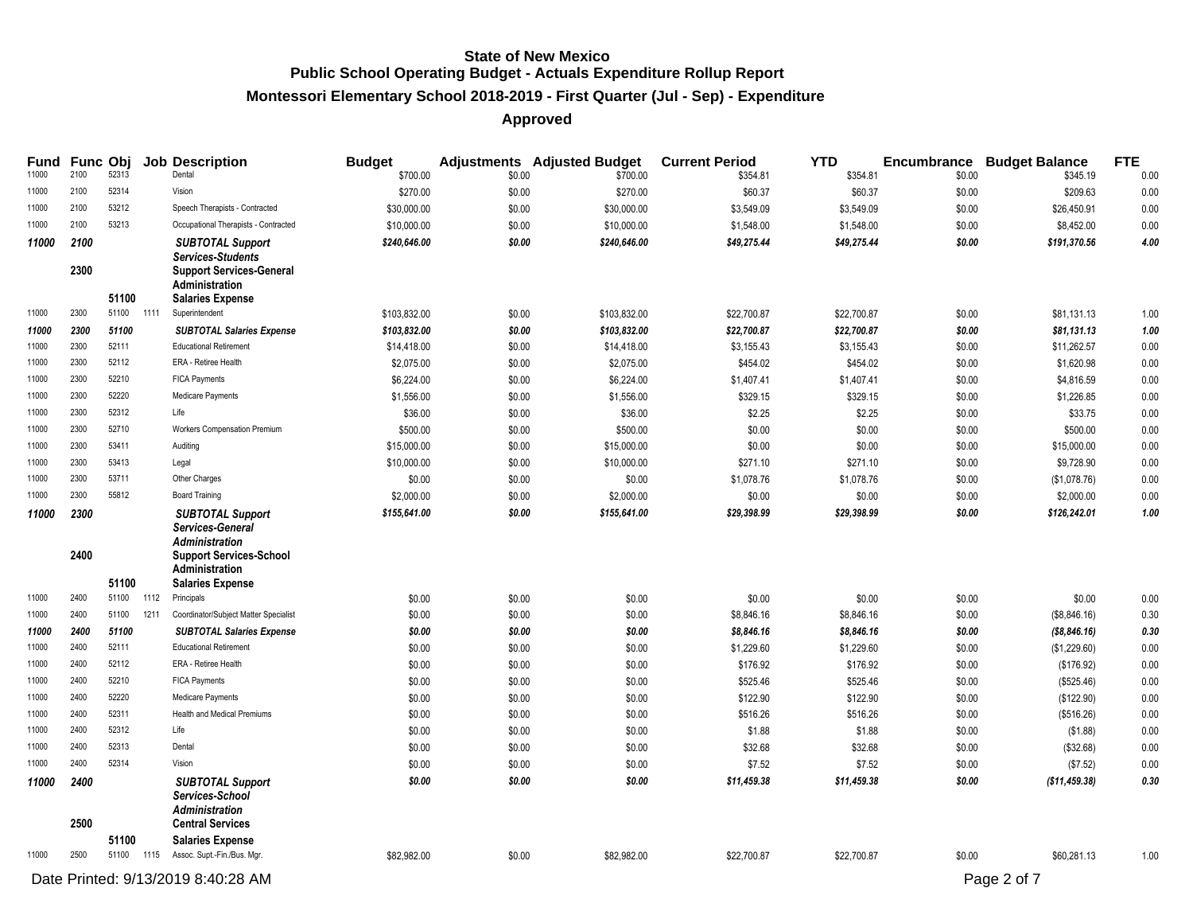# **Montessori Elementary School 2018-2019 - First Quarter (Jul - Sep) - Expenditure**

| <b>Fund</b><br>11000 | 2100         | <b>Func Obj</b><br>52313 |      | <b>Job Description</b><br>Dental                                                                                                                    | <b>Budget</b><br>\$700.00 | \$0.00 | <b>Adjustments</b> Adjusted Budget<br>\$700.00 | <b>Current Period</b><br>\$354.81 | <b>YTD</b><br>\$354.81 | \$0.00 | <b>Encumbrance Budget Balance</b><br>\$345.19 | <b>FTE</b><br>0.00 |
|----------------------|--------------|--------------------------|------|-----------------------------------------------------------------------------------------------------------------------------------------------------|---------------------------|--------|------------------------------------------------|-----------------------------------|------------------------|--------|-----------------------------------------------|--------------------|
| 11000                | 2100         | 52314                    |      | Vision                                                                                                                                              | \$270.00                  | \$0.00 | \$270.00                                       | \$60.37                           | \$60.37                | \$0.00 | \$209.63                                      | 0.00               |
| 11000                | 2100         | 53212                    |      | Speech Therapists - Contracted                                                                                                                      | \$30,000.00               | \$0.00 | \$30,000.00                                    | \$3,549.09                        | \$3,549.09             | \$0.00 | \$26,450.91                                   | 0.00               |
| 11000                | 2100         | 53213                    |      | Occupational Therapists - Contracted                                                                                                                | \$10,000.00               | \$0.00 | \$10,000.00                                    | \$1,548.00                        | \$1,548.00             | \$0.00 | \$8,452.00                                    | 0.00               |
| 11000                | 2100         |                          |      | <b>SUBTOTAL Support</b>                                                                                                                             | \$240,646.00              | \$0.00 | \$240,646.00                                   | \$49,275.44                       | \$49,275.44            | \$0.00 | \$191,370.56                                  | 4.00               |
|                      | 2300         |                          |      | <b>Services-Students</b><br><b>Support Services-General</b><br>Administration                                                                       |                           |        |                                                |                                   |                        |        |                                               |                    |
|                      |              | 51100                    |      | <b>Salaries Expense</b>                                                                                                                             |                           |        |                                                |                                   |                        |        |                                               |                    |
| 11000                | 2300         | 51100                    | 1111 | Superintendent                                                                                                                                      | \$103,832.00              | \$0.00 | \$103,832.00                                   | \$22,700.87                       | \$22,700.87            | \$0.00 | \$81,131.13                                   | 1.00               |
| 11000                | 2300         | 51100                    |      | <b>SUBTOTAL Salaries Expense</b>                                                                                                                    | \$103,832.00              | \$0.00 | \$103,832.00                                   | \$22,700.87                       | \$22,700.87            | \$0.00 | \$81,131.13                                   | 1.00               |
| 11000                | 2300         | 52111                    |      | <b>Educational Retirement</b>                                                                                                                       | \$14,418.00               | \$0.00 | \$14,418.00                                    | \$3,155.43                        | \$3,155.43             | \$0.00 | \$11,262.57                                   | 0.00               |
| 11000                | 2300         | 52112                    |      | ERA - Retiree Health                                                                                                                                | \$2,075.00                | \$0.00 | \$2,075.00                                     | \$454.02                          | \$454.02               | \$0.00 | \$1,620.98                                    | 0.00               |
| 11000                | 2300         | 52210                    |      | <b>FICA Payments</b>                                                                                                                                | \$6,224.00                | \$0.00 | \$6,224.00                                     | \$1,407.41                        | \$1,407.41             | \$0.00 | \$4,816.59                                    | 0.00               |
| 11000                | 2300         | 52220                    |      | Medicare Payments                                                                                                                                   | \$1,556.00                | \$0.00 | \$1,556.00                                     | \$329.15                          | \$329.15               | \$0.00 | \$1,226.85                                    | 0.00               |
| 11000                | 2300         | 52312                    |      | Life                                                                                                                                                | \$36.00                   | \$0.00 | \$36.00                                        | \$2.25                            | \$2.25                 | \$0.00 | \$33.75                                       | 0.00               |
| 11000                | 2300         | 52710                    |      | Workers Compensation Premium                                                                                                                        | \$500.00                  | \$0.00 | \$500.00                                       | \$0.00                            | \$0.00                 | \$0.00 | \$500.00                                      | 0.00               |
| 11000                | 2300         | 53411                    |      | Auditing                                                                                                                                            | \$15,000.00               | \$0.00 | \$15,000.00                                    | \$0.00                            | \$0.00                 | \$0.00 | \$15,000.00                                   | 0.00               |
| 11000                | 2300         | 53413                    |      | Legal                                                                                                                                               | \$10,000.00               | \$0.00 | \$10,000.00                                    | \$271.10                          | \$271.10               | \$0.00 | \$9,728.90                                    | 0.00               |
| 11000                | 2300         | 53711                    |      | Other Charges                                                                                                                                       | \$0.00                    | \$0.00 | \$0.00                                         | \$1,078.76                        | \$1,078.76             | \$0.00 | (\$1,078.76)                                  | 0.00               |
| 11000                | 2300         | 55812                    |      | <b>Board Training</b>                                                                                                                               | \$2,000.00                | \$0.00 | \$2,000.00                                     | \$0.00                            | \$0.00                 | \$0.00 | \$2,000.00                                    | 0.00               |
| 11000                | 2300<br>2400 | 51100                    |      | <b>SUBTOTAL Support</b><br>Services-General<br><b>Administration</b><br><b>Support Services-School</b><br>Administration<br><b>Salaries Expense</b> | \$155,641.00              | \$0.00 | \$155,641.00                                   | \$29,398.99                       | \$29,398.99            | \$0.00 | \$126,242.01                                  | 1.00               |
| 11000                | 2400         | 51100                    | 1112 | Principals                                                                                                                                          | \$0.00                    | \$0.00 | \$0.00                                         | \$0.00                            | \$0.00                 | \$0.00 | \$0.00                                        | 0.00               |
| 11000                | 2400         | 51100                    | 1211 | Coordinator/Subject Matter Specialist                                                                                                               | \$0.00                    | \$0.00 | \$0.00                                         | \$8,846.16                        | \$8,846.16             | \$0.00 | (\$8,846.16)                                  | 0.30               |
| 11000                | 2400         | 51100                    |      | <b>SUBTOTAL Salaries Expense</b>                                                                                                                    | \$0.00                    | \$0.00 | \$0.00                                         | \$8,846.16                        | \$8,846.16             | \$0.00 | ( \$8, 846.16)                                | 0.30               |
| 11000                | 2400         | 52111                    |      | <b>Educational Retirement</b>                                                                                                                       | \$0.00                    | \$0.00 | \$0.00                                         | \$1,229.60                        | \$1,229.60             | \$0.00 | (\$1,229.60)                                  | 0.00               |
| 11000                | 2400         | 52112                    |      | ERA - Retiree Health                                                                                                                                | \$0.00                    | \$0.00 | \$0.00                                         | \$176.92                          | \$176.92               | \$0.00 | (\$176.92)                                    | 0.00               |
| 11000                | 2400         | 52210                    |      | <b>FICA Payments</b>                                                                                                                                | \$0.00                    | \$0.00 | \$0.00                                         | \$525.46                          | \$525.46               | \$0.00 | (\$525.46)                                    | 0.00               |
| 11000                | 2400         | 52220                    |      | Medicare Payments                                                                                                                                   | \$0.00                    | \$0.00 | \$0.00                                         | \$122.90                          | \$122.90               | \$0.00 | (\$122.90)                                    | 0.00               |
| 11000                | 2400         | 52311                    |      | <b>Health and Medical Premiums</b>                                                                                                                  | \$0.00                    | \$0.00 | \$0.00                                         | \$516.26                          | \$516.26               | \$0.00 | (\$516.26)                                    | 0.00               |
| 11000                | 2400         | 52312                    |      | Life                                                                                                                                                | \$0.00                    | \$0.00 | \$0.00                                         | \$1.88                            | \$1.88                 | \$0.00 | (\$1.88)                                      | 0.00               |
| 11000                | 2400         | 52313                    |      | Dental                                                                                                                                              | \$0.00                    | \$0.00 | \$0.00                                         | \$32.68                           | \$32.68                | \$0.00 | (\$32.68)                                     | 0.00               |
| 11000                | 2400         | 52314                    |      | Vision                                                                                                                                              | \$0.00                    | \$0.00 | \$0.00                                         | \$7.52                            | \$7.52                 | \$0.00 | (\$7.52)                                      | 0.00               |
| 11000                | 2400         |                          |      | <b>SUBTOTAL Support</b>                                                                                                                             | \$0.00                    | \$0.00 | \$0.00                                         | \$11,459.38                       | \$11,459.38            | \$0.00 | (\$11,459.38)                                 | 0.30               |
|                      | 2500         |                          |      | Services-School<br><b>Administration</b><br><b>Central Services</b>                                                                                 |                           |        |                                                |                                   |                        |        |                                               |                    |
|                      |              | 51100                    |      | <b>Salaries Expense</b>                                                                                                                             |                           |        |                                                |                                   |                        |        |                                               |                    |
| 11000                | 2500         |                          |      | 51100 1115 Assoc. Supt.-Fin./Bus. Mgr.                                                                                                              | \$82,982.00               | \$0.00 | \$82,982.00                                    | \$22,700.87                       | \$22,700.87            | \$0.00 | \$60,281.13                                   | 1.00               |
|                      |              |                          |      | Date Printed: 9/13/2019 8:40:28 AM                                                                                                                  |                           |        |                                                |                                   |                        |        | Page 2 of 7                                   |                    |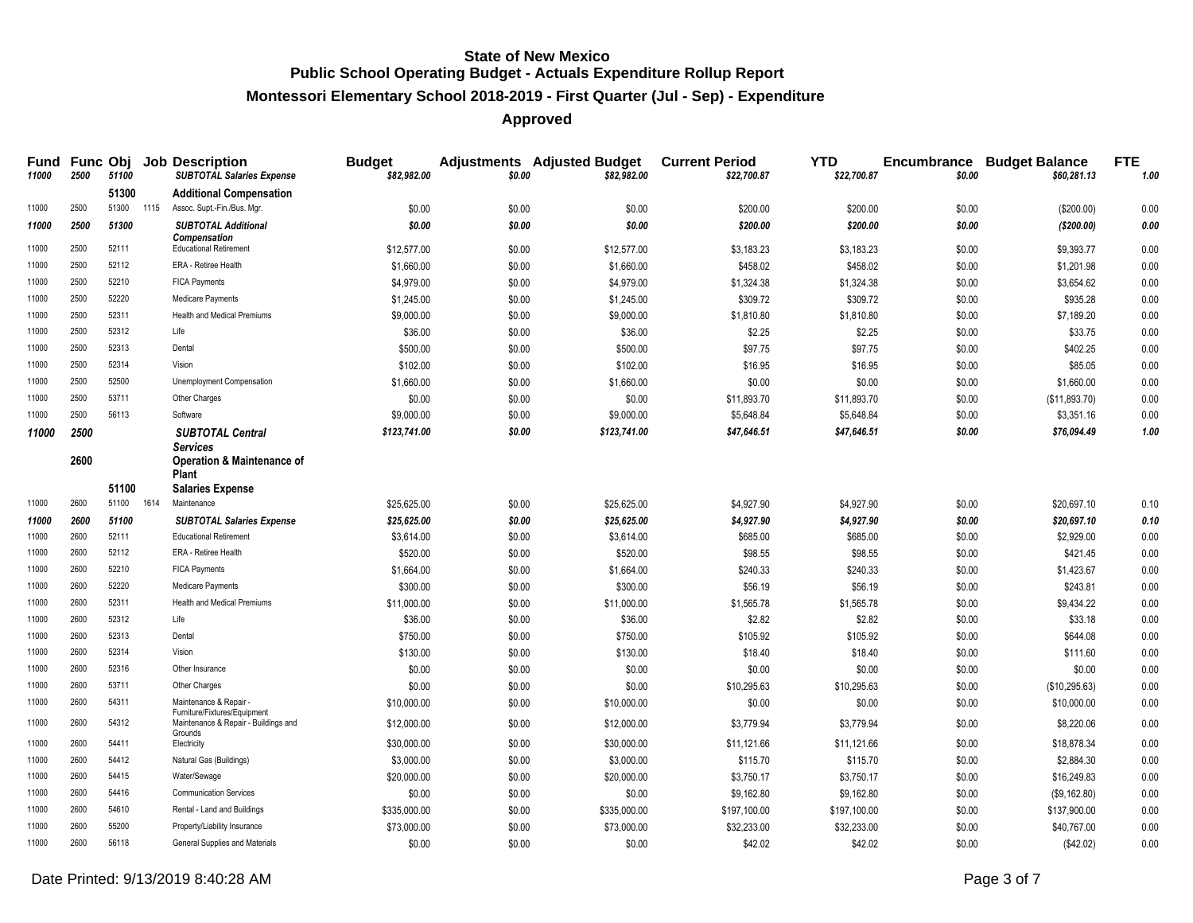# **Montessori Elementary School 2018-2019 - First Quarter (Jul - Sep) - Expenditure**

| <b>Fund</b><br>11000 | 2500 | 51100          |      | <b>Func Obj Job Description</b><br><b>SUBTOTAL Salaries Expense</b>  | <b>Budget</b><br>\$82,982.00 | \$0.00 | <b>Adjustments</b> Adjusted Budget<br>\$82,982.00 | <b>Current Period</b><br>\$22,700.87 | <b>YTD</b><br>\$22,700.87 | \$0.00 | <b>Encumbrance Budget Balance</b><br>\$60,281.13 | <b>FTE</b><br>1.00 |
|----------------------|------|----------------|------|----------------------------------------------------------------------|------------------------------|--------|---------------------------------------------------|--------------------------------------|---------------------------|--------|--------------------------------------------------|--------------------|
|                      |      | 51300          |      | <b>Additional Compensation</b>                                       |                              |        |                                                   |                                      |                           |        |                                                  |                    |
| 11000                | 2500 | 51300          | 1115 | Assoc. Supt.-Fin./Bus. Mgr.                                          | \$0.00                       | \$0.00 | \$0.00                                            | \$200.00                             | \$200.00                  | \$0.00 | (\$200.00)                                       | 0.00               |
| 11000                | 2500 | 51300          |      | <b>SUBTOTAL Additional</b><br><b>Compensation</b>                    | \$0.00                       | \$0.00 | \$0.00                                            | \$200.00                             | \$200.00                  | \$0.00 | ( \$200.00)                                      | 0.00               |
| 11000                | 2500 | 52111          |      | <b>Educational Retirement</b>                                        | \$12,577.00                  | \$0.00 | \$12,577.00                                       | \$3,183.23                           | \$3,183.23                | \$0.00 | \$9,393.77                                       | 0.00               |
| 11000                | 2500 | 52112          |      | ERA - Retiree Health                                                 | \$1,660.00                   | \$0.00 | \$1,660.00                                        | \$458.02                             | \$458.02                  | \$0.00 | \$1,201.98                                       | 0.00               |
| 11000                | 2500 | 52210          |      | <b>FICA Payments</b>                                                 | \$4,979.00                   | \$0.00 | \$4,979.00                                        | \$1,324.38                           | \$1,324.38                | \$0.00 | \$3,654.62                                       | 0.00               |
| 11000                | 2500 | 52220          |      | Medicare Payments                                                    | \$1,245.00                   | \$0.00 | \$1,245.00                                        | \$309.72                             | \$309.72                  | \$0.00 | \$935.28                                         | 0.00               |
| 11000                | 2500 | 52311          |      | Health and Medical Premiums                                          | \$9,000.00                   | \$0.00 | \$9,000.00                                        | \$1,810.80                           | \$1,810.80                | \$0.00 | \$7,189.20                                       | 0.00               |
| 11000                | 2500 | 52312          |      | Life                                                                 | \$36.00                      | \$0.00 | \$36.00                                           | \$2.25                               | \$2.25                    | \$0.00 | \$33.75                                          | 0.00               |
| 11000                | 2500 | 52313          |      | Dental                                                               | \$500.00                     | \$0.00 | \$500.00                                          | \$97.75                              | \$97.75                   | \$0.00 | \$402.25                                         | 0.00               |
| 11000                | 2500 | 52314          |      | Vision                                                               | \$102.00                     | \$0.00 | \$102.00                                          | \$16.95                              | \$16.95                   | \$0.00 | \$85.05                                          | 0.00               |
| 11000                | 2500 | 52500          |      | Unemployment Compensation                                            | \$1,660.00                   | \$0.00 | \$1,660.00                                        | \$0.00                               | \$0.00                    | \$0.00 | \$1,660.00                                       | 0.00               |
| 11000                | 2500 | 53711          |      | Other Charges                                                        | \$0.00                       | \$0.00 | \$0.00                                            | \$11,893.70                          | \$11,893.70               | \$0.00 | (\$11,893.70)                                    | 0.00               |
| 11000                | 2500 | 56113          |      | Software                                                             | \$9,000.00                   | \$0.00 | \$9,000.00                                        | \$5,648.84                           | \$5,648.84                | \$0.00 | \$3,351.16                                       | 0.00               |
| 11000                | 2500 |                |      | <b>SUBTOTAL Central</b>                                              | \$123,741.00                 | \$0.00 | \$123,741.00                                      | \$47,646.51                          | \$47,646.51               | \$0.00 | \$76,094.49                                      | 1.00               |
|                      | 2600 |                |      | <b>Services</b><br><b>Operation &amp; Maintenance of</b>             |                              |        |                                                   |                                      |                           |        |                                                  |                    |
|                      |      |                |      | <b>Plant</b>                                                         |                              |        |                                                   |                                      |                           |        |                                                  |                    |
| 11000                | 2600 | 51100<br>51100 | 1614 | <b>Salaries Expense</b><br>Maintenance                               | \$25,625.00                  | \$0.00 | \$25,625.00                                       | \$4,927.90                           | \$4,927.90                | \$0.00 | \$20,697.10                                      | 0.10               |
| 11000                | 2600 | 51100          |      | <b>SUBTOTAL Salaries Expense</b>                                     | \$25,625.00                  | \$0.00 | \$25,625.00                                       | \$4,927.90                           | \$4,927.90                | \$0.00 | \$20,697.10                                      | 0.10               |
| 11000                | 2600 | 52111          |      | <b>Educational Retirement</b>                                        | \$3,614.00                   | \$0.00 | \$3,614.00                                        | \$685.00                             | \$685.00                  | \$0.00 | \$2,929.00                                       | 0.00               |
| 11000                | 2600 | 52112          |      | ERA - Retiree Health                                                 | \$520.00                     | \$0.00 | \$520.00                                          | \$98.55                              | \$98.55                   | \$0.00 | \$421.45                                         | 0.00               |
| 11000                | 2600 | 52210          |      | <b>FICA Payments</b>                                                 | \$1,664.00                   | \$0.00 | \$1,664.00                                        | \$240.33                             | \$240.33                  | \$0.00 | \$1,423.67                                       | 0.00               |
| 11000                | 2600 | 52220          |      | Medicare Payments                                                    | \$300.00                     | \$0.00 | \$300.00                                          | \$56.19                              | \$56.19                   | \$0.00 | \$243.81                                         | 0.00               |
| 11000                | 2600 | 52311          |      | <b>Health and Medical Premiums</b>                                   | \$11,000.00                  | \$0.00 | \$11,000.00                                       | \$1,565.78                           | \$1,565.78                | \$0.00 | \$9,434.22                                       | 0.00               |
| 11000                | 2600 | 52312          |      | Life                                                                 | \$36.00                      | \$0.00 | \$36.00                                           | \$2.82                               | \$2.82                    | \$0.00 | \$33.18                                          | 0.00               |
| 11000                | 2600 | 52313          |      | Dental                                                               | \$750.00                     | \$0.00 | \$750.00                                          | \$105.92                             | \$105.92                  | \$0.00 | \$644.08                                         | 0.00               |
| 11000                | 2600 | 52314          |      | Vision                                                               | \$130.00                     | \$0.00 | \$130.00                                          | \$18.40                              | \$18.40                   | \$0.00 | \$111.60                                         | 0.00               |
| 11000                | 2600 | 52316          |      | Other Insurance                                                      | \$0.00                       | \$0.00 | \$0.00                                            | \$0.00                               | \$0.00                    | \$0.00 | \$0.00                                           | 0.00               |
| 11000                | 2600 | 53711          |      | Other Charges                                                        | \$0.00                       | \$0.00 | \$0.00                                            | \$10,295.63                          | \$10,295.63               | \$0.00 | (\$10,295.63)                                    | 0.00               |
| 11000                | 2600 | 54311          |      | Maintenance & Repair -                                               | \$10,000.00                  | \$0.00 | \$10,000.00                                       | \$0.00                               | \$0.00                    | \$0.00 | \$10,000.00                                      | 0.00               |
| 11000                | 2600 | 54312          |      | Furniture/Fixtures/Equipment<br>Maintenance & Repair - Buildings and | \$12,000.00                  | \$0.00 | \$12,000.00                                       | \$3,779.94                           | \$3,779.94                | \$0.00 | \$8,220.06                                       | 0.00               |
| 11000                | 2600 | 54411          |      | Grounds<br>Electricity                                               | \$30,000.00                  | \$0.00 | \$30,000.00                                       | \$11,121.66                          | \$11,121.66               | \$0.00 | \$18,878.34                                      | 0.00               |
| 11000                | 2600 | 54412          |      | Natural Gas (Buildings)                                              | \$3,000.00                   | \$0.00 | \$3,000.00                                        | \$115.70                             | \$115.70                  | \$0.00 | \$2,884.30                                       | 0.00               |
| 11000                | 2600 | 54415          |      | Water/Sewage                                                         | \$20,000.00                  | \$0.00 | \$20,000.00                                       | \$3,750.17                           | \$3,750.17                | \$0.00 | \$16,249.83                                      | 0.00               |
| 11000                | 2600 | 54416          |      | <b>Communication Services</b>                                        | \$0.00                       | \$0.00 | \$0.00                                            | \$9,162.80                           | \$9,162.80                | \$0.00 | (\$9,162.80)                                     | 0.00               |
| 11000                | 2600 | 54610          |      | Rental - Land and Buildings                                          | \$335,000.00                 | \$0.00 | \$335,000.00                                      | \$197,100.00                         | \$197,100.00              | \$0.00 | \$137,900.00                                     | 0.00               |
| 11000                | 2600 | 55200          |      | Property/Liability Insurance                                         | \$73,000.00                  | \$0.00 | \$73,000.00                                       | \$32,233.00                          | \$32,233.00               | \$0.00 | \$40,767.00                                      | 0.00               |
| 11000                | 2600 | 56118          |      | General Supplies and Materials                                       | \$0.00                       | \$0.00 | \$0.00                                            | \$42.02                              | \$42.02                   | \$0.00 | (\$42.02)                                        | 0.00               |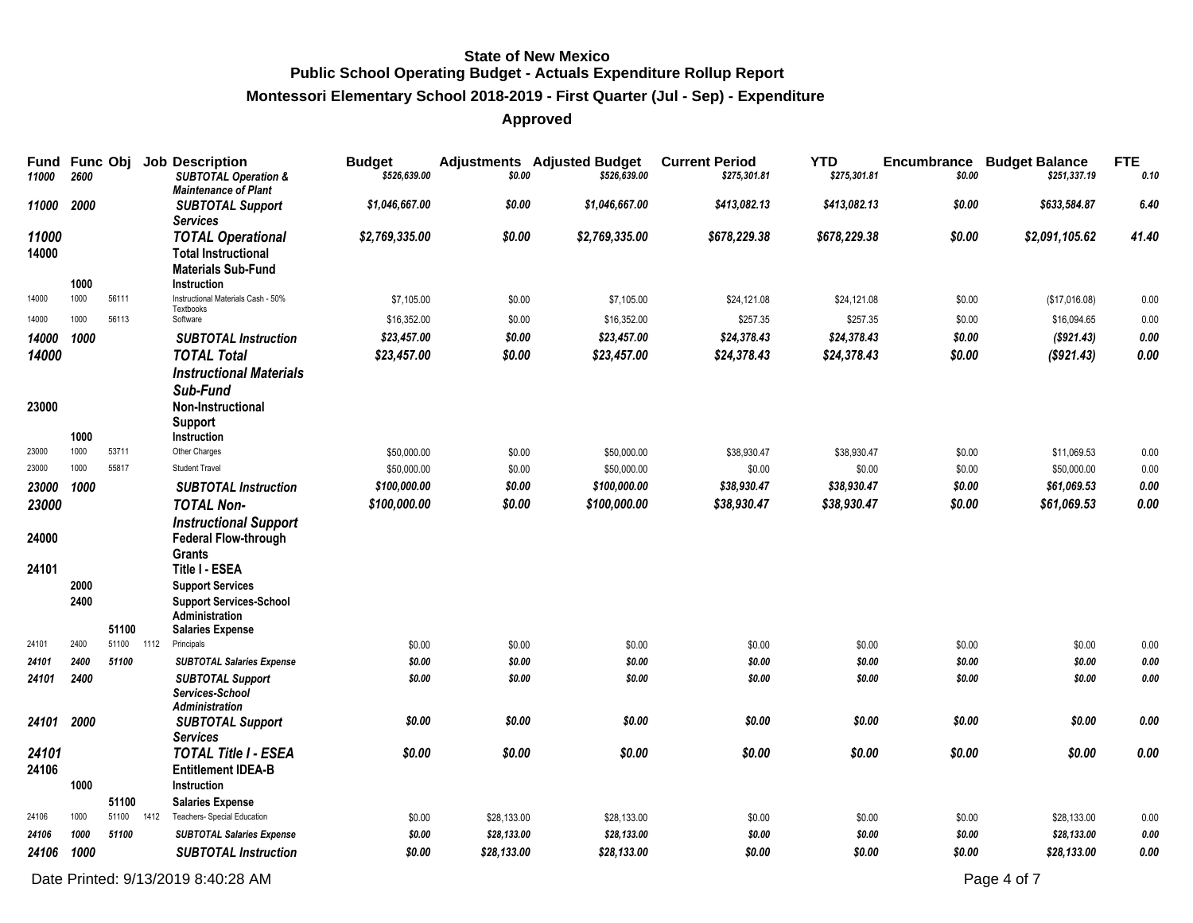# **Montessori Elementary School 2018-2019 - First Quarter (Jul - Sep) - Expenditure**

# **Approved**

| Fund<br>11000           | <b>Func Obj</b><br>2600 |            |      | <b>Job Description</b><br><b>SUBTOTAL Operation &amp;</b><br><b>Maintenance of Plant</b>                                                                                                | <b>Budget</b><br>\$526,639.00 | \$0.00      | <b>Adjustments</b> Adjusted Budget<br>\$526,639.00 | <b>Current Period</b><br>\$275,301.81 | <b>YTD</b><br>\$275,301.81 | Encumbrance<br>\$0.00 | <b>Budget Balance</b><br>\$251,337.19 | <b>FTE</b><br>0.10 |
|-------------------------|-------------------------|------------|------|-----------------------------------------------------------------------------------------------------------------------------------------------------------------------------------------|-------------------------------|-------------|----------------------------------------------------|---------------------------------------|----------------------------|-----------------------|---------------------------------------|--------------------|
| 11000                   | 2000                    |            |      | <b>SUBTOTAL Support</b><br><b>Services</b>                                                                                                                                              | \$1,046,667.00                | \$0.00      | \$1,046,667.00                                     | \$413,082.13                          | \$413,082.13               | \$0.00                | \$633,584.87                          | 6.40               |
| 11000<br>14000          | 1000                    |            |      | <b>TOTAL Operational</b><br><b>Total Instructional</b><br><b>Materials Sub-Fund</b><br>Instruction                                                                                      | \$2,769,335.00                | \$0.00      | \$2,769,335.00                                     | \$678,229.38                          | \$678,229.38               | \$0.00                | \$2,091,105.62                        | 41.40              |
| 14000                   | 1000                    | 56111      |      | Instructional Materials Cash - 50%<br>Textbooks                                                                                                                                         | \$7,105.00                    | \$0.00      | \$7,105.00                                         | \$24,121.08                           | \$24,121.08                | \$0.00                | (\$17,016.08)                         | 0.00               |
| 14000                   | 1000                    | 56113      |      | Software                                                                                                                                                                                | \$16,352.00                   | \$0.00      | \$16,352.00                                        | \$257.35                              | \$257.35                   | \$0.00                | \$16,094.65                           | 0.00               |
| 14000                   | 1000                    |            |      | <b>SUBTOTAL Instruction</b>                                                                                                                                                             | \$23,457.00                   | \$0.00      | \$23,457.00                                        | \$24,378.43                           | \$24,378.43                | \$0.00                | (\$921.43)                            | 0.00               |
| 14000                   |                         |            |      | <b>TOTAL Total</b>                                                                                                                                                                      | \$23,457.00                   | \$0.00      | \$23,457.00                                        | \$24,378.43                           | \$24,378.43                | \$0.00                | (\$921.43)                            | 0.00               |
| 23000                   | 1000                    |            |      | <b>Instructional Materials</b><br>Sub-Fund<br>Non-Instructional<br><b>Support</b><br>Instruction                                                                                        |                               |             |                                                    |                                       |                            |                       |                                       |                    |
| 23000                   | 1000                    | 53711      |      | Other Charges                                                                                                                                                                           | \$50,000.00                   | \$0.00      | \$50,000.00                                        | \$38,930.47                           | \$38,930.47                | \$0.00                | \$11,069.53                           | 0.00               |
| 23000                   | 1000                    | 55817      |      | <b>Student Travel</b>                                                                                                                                                                   | \$50,000.00                   | \$0.00      | \$50,000.00                                        | \$0.00                                | \$0.00                     | \$0.00                | \$50,000.00                           | 0.00               |
| 23000 1000              |                         |            |      | <b>SUBTOTAL Instruction</b>                                                                                                                                                             | \$100,000.00                  | \$0.00      | \$100,000.00                                       | \$38,930.47                           | \$38,930.47                | \$0.00                | \$61,069.53                           | 0.00               |
| 23000<br>24000<br>24101 | 2000<br>2400            |            |      | <b>TOTAL Non-</b><br><b>Instructional Support</b><br><b>Federal Flow-through</b><br><b>Grants</b><br><b>Title I - ESEA</b><br><b>Support Services</b><br><b>Support Services-School</b> | \$100,000.00                  | \$0.00      | \$100.000.00                                       | \$38,930.47                           | \$38,930.47                | \$0.00                | \$61,069.53                           | 0.00               |
|                         |                         | 51100      |      | Administration<br><b>Salaries Expense</b>                                                                                                                                               |                               |             |                                                    |                                       |                            |                       |                                       |                    |
| 24101                   | 2400                    | 51100 1112 |      | Principals                                                                                                                                                                              | \$0.00                        | \$0.00      | \$0.00                                             | \$0.00                                | \$0.00                     | \$0.00                | \$0.00                                | 0.00               |
| 24101                   | 2400                    | 51100      |      | <b>SUBTOTAL Salaries Expense</b>                                                                                                                                                        | \$0.00                        | \$0.00      | \$0.00                                             | \$0.00                                | \$0.00                     | \$0.00                | \$0.00                                | 0.00               |
| 24101                   | 2400                    |            |      | <b>SUBTOTAL Support</b><br>Services-School<br><b>Administration</b>                                                                                                                     | \$0.00                        | \$0.00      | \$0.00                                             | \$0.00                                | \$0.00                     | \$0.00                | \$0.00                                | 0.00               |
| 24101                   | 2000                    |            |      | <b>SUBTOTAL Support</b><br><b>Services</b>                                                                                                                                              | \$0.00                        | \$0.00      | \$0.00                                             | \$0.00                                | \$0.00                     | \$0.00                | \$0.00                                | 0.00               |
| 24101<br>24106          | 1000                    | 51100      |      | <b>TOTAL Title I - ESEA</b><br><b>Entitlement IDEA-B</b><br>Instruction<br><b>Salaries Expense</b>                                                                                      | \$0.00                        | \$0.00      | \$0.00                                             | \$0.00                                | \$0.00                     | \$0.00                | \$0.00                                | 0.00               |
| 24106                   | 1000                    | 51100      | 1412 | Teachers- Special Education                                                                                                                                                             | \$0.00                        | \$28,133.00 | \$28,133.00                                        | \$0.00                                | \$0.00                     | \$0.00                | \$28,133.00                           | 0.00               |
| 24106                   | 1000                    | 51100      |      | <b>SUBTOTAL Salaries Expense</b>                                                                                                                                                        | \$0.00                        | \$28,133.00 | \$28,133.00                                        | \$0.00                                | \$0.00                     | \$0.00                | \$28,133.00                           | 0.00               |
| 24106                   | 1000                    |            |      | <b>SUBTOTAL Instruction</b>                                                                                                                                                             | \$0.00                        | \$28,133.00 | \$28,133.00                                        | \$0.00                                | \$0.00                     | \$0.00                | \$28,133.00                           | 0.00               |

Date Printed:  $9/13/20198.40:28$  AM Page 4 of 7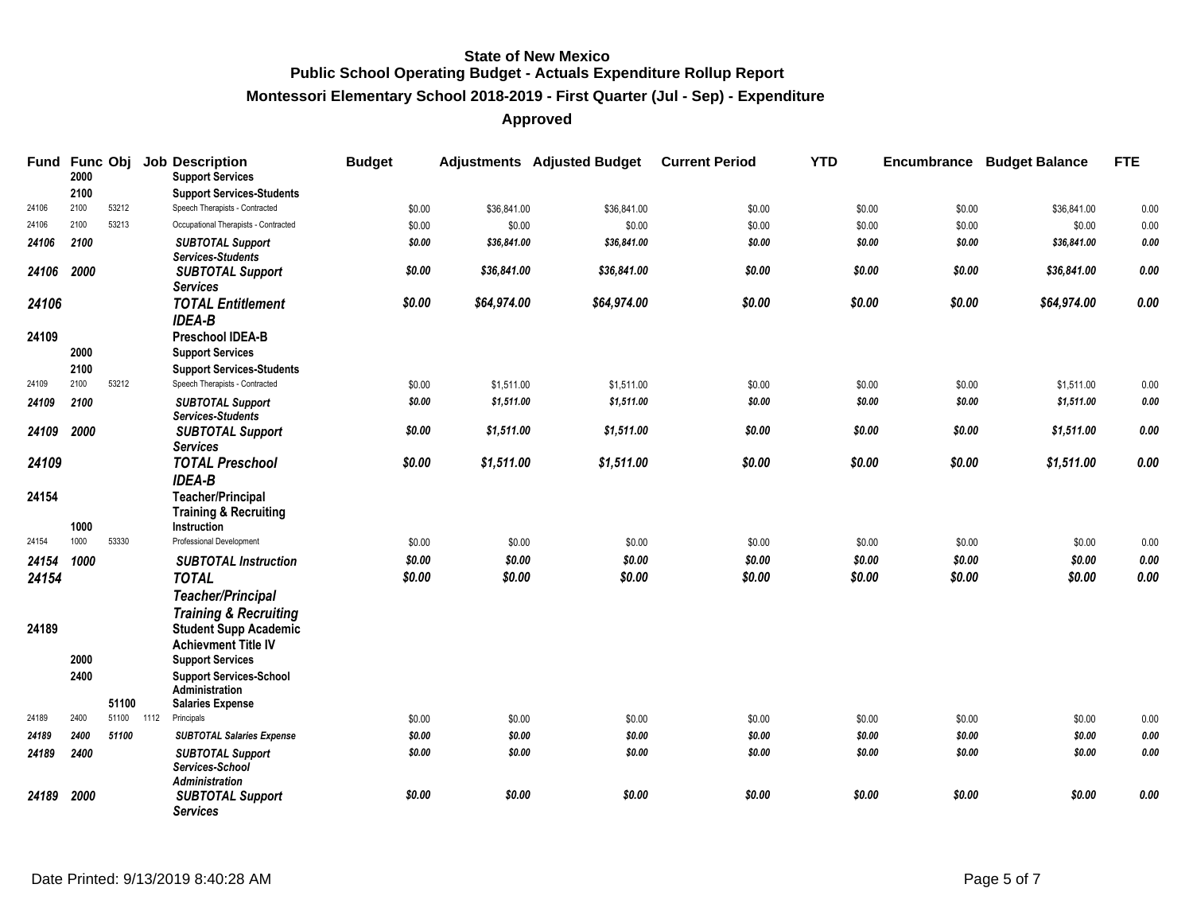# **Montessori Elementary School 2018-2019 - First Quarter (Jul - Sep) - Expenditure**

| Fund Func Obj | 2000         |       |      | <b>Job Description</b><br><b>Support Services</b>                                                                         | <b>Budget</b> |             | <b>Adjustments</b> Adjusted Budget | <b>Current Period</b> | <b>YTD</b> |        | <b>Encumbrance Budget Balance</b> | <b>FTE</b>  |
|---------------|--------------|-------|------|---------------------------------------------------------------------------------------------------------------------------|---------------|-------------|------------------------------------|-----------------------|------------|--------|-----------------------------------|-------------|
|               | 2100         |       |      | <b>Support Services-Students</b>                                                                                          |               |             |                                    |                       |            |        |                                   |             |
| 24106         | 2100         | 53212 |      | Speech Therapists - Contracted                                                                                            | \$0.00        | \$36,841.00 | \$36,841.00                        | \$0.00                | \$0.00     | \$0.00 | \$36,841.00                       | 0.00        |
| 24106         | 2100         | 53213 |      | Occupational Therapists - Contracted                                                                                      | \$0.00        | \$0.00      | \$0.00                             | \$0.00                | \$0.00     | \$0.00 | \$0.00                            | 0.00        |
| 24106         | 2100         |       |      | <b>SUBTOTAL Support</b><br>Services-Students                                                                              | \$0.00        | \$36,841.00 | \$36,841.00                        | \$0.00                | \$0.00     | \$0.00 | \$36,841.00                       | 0.00        |
| 24106         | 2000         |       |      | <b>SUBTOTAL Support</b><br><b>Services</b>                                                                                | \$0.00        | \$36,841.00 | \$36,841.00                        | \$0.00                | \$0.00     | \$0.00 | \$36,841.00                       | 0.00        |
| 24106         |              |       |      | <b>TOTAL Entitlement</b><br><b>IDEA-B</b>                                                                                 | \$0.00        | \$64,974.00 | \$64,974.00                        | \$0.00                | \$0.00     | \$0.00 | \$64,974.00                       | 0.00        |
| 24109         | 2000         |       |      | <b>Preschool IDEA-B</b><br><b>Support Services</b>                                                                        |               |             |                                    |                       |            |        |                                   |             |
|               | 2100         |       |      | <b>Support Services-Students</b>                                                                                          |               |             |                                    |                       |            |        |                                   |             |
| 24109         | 2100         | 53212 |      | Speech Therapists - Contracted                                                                                            | \$0.00        | \$1,511.00  | \$1,511.00                         | \$0.00                | \$0.00     | \$0.00 | \$1,511.00                        | $0.00\,$    |
| 24109         | 2100         |       |      | <b>SUBTOTAL Support</b><br>Services-Students                                                                              | \$0.00        | \$1,511.00  | \$1,511.00                         | \$0.00                | \$0.00     | \$0.00 | \$1,511.00                        | 0.00        |
| 24109         | 2000         |       |      | <b>SUBTOTAL Support</b><br><b>Services</b>                                                                                | \$0.00        | \$1,511.00  | \$1,511.00                         | \$0.00                | \$0.00     | \$0.00 | \$1,511.00                        | 0.00        |
| 24109         |              |       |      | <b>TOTAL Preschool</b><br><b>IDEA-B</b>                                                                                   | \$0.00        | \$1,511.00  | \$1,511.00                         | \$0.00                | \$0.00     | \$0.00 | \$1,511.00                        | 0.00        |
| 24154         |              |       |      | <b>Teacher/Principal</b><br><b>Training &amp; Recruiting</b>                                                              |               |             |                                    |                       |            |        |                                   |             |
| 24154         | 1000<br>1000 | 53330 |      | <b>Instruction</b><br>Professional Development                                                                            | \$0.00        | \$0.00      | \$0.00                             | \$0.00                | \$0.00     | \$0.00 | \$0.00                            | 0.00        |
|               | 1000         |       |      |                                                                                                                           | \$0.00        | \$0.00      | \$0.00                             | \$0.00                | \$0.00     | \$0.00 | \$0.00                            | $0.00\,$    |
| 24154         |              |       |      | <b>SUBTOTAL Instruction</b>                                                                                               | \$0.00        | \$0.00      | \$0.00                             | \$0.00                | \$0.00     | \$0.00 | \$0.00                            | 0.00        |
| 24154         |              |       |      | <b>TOTAL</b><br><b>Teacher/Principal</b>                                                                                  |               |             |                                    |                       |            |        |                                   |             |
| 24189         | 2000         |       |      | <b>Training &amp; Recruiting</b><br><b>Student Supp Academic</b><br><b>Achievment Title IV</b><br><b>Support Services</b> |               |             |                                    |                       |            |        |                                   |             |
|               | 2400         |       |      | <b>Support Services-School</b><br>Administration                                                                          |               |             |                                    |                       |            |        |                                   |             |
|               |              | 51100 |      | <b>Salaries Expense</b>                                                                                                   |               |             |                                    |                       |            |        |                                   |             |
| 24189         | 2400         | 51100 | 1112 | Principals                                                                                                                | \$0.00        | \$0.00      | \$0.00                             | \$0.00                | \$0.00     | \$0.00 | \$0.00                            | $0.00\,$    |
| 24189         | 2400         | 51100 |      | <b>SUBTOTAL Salaries Expense</b>                                                                                          | \$0.00        | \$0.00      | \$0.00                             | \$0.00                | \$0.00     | \$0.00 | \$0.00                            | $\it{0.00}$ |
| 24189         | 2400         |       |      | <b>SUBTOTAL Support</b><br>Services-School<br>Administration                                                              | \$0.00        | \$0.00      | \$0.00                             | \$0.00                | \$0.00     | \$0.00 | \$0.00                            | $\it{0.00}$ |
| 24189         | 2000         |       |      | <b>SUBTOTAL Support</b><br><b>Services</b>                                                                                | \$0.00        | \$0.00      | \$0.00                             | \$0.00                | \$0.00     | \$0.00 | \$0.00                            | 0.00        |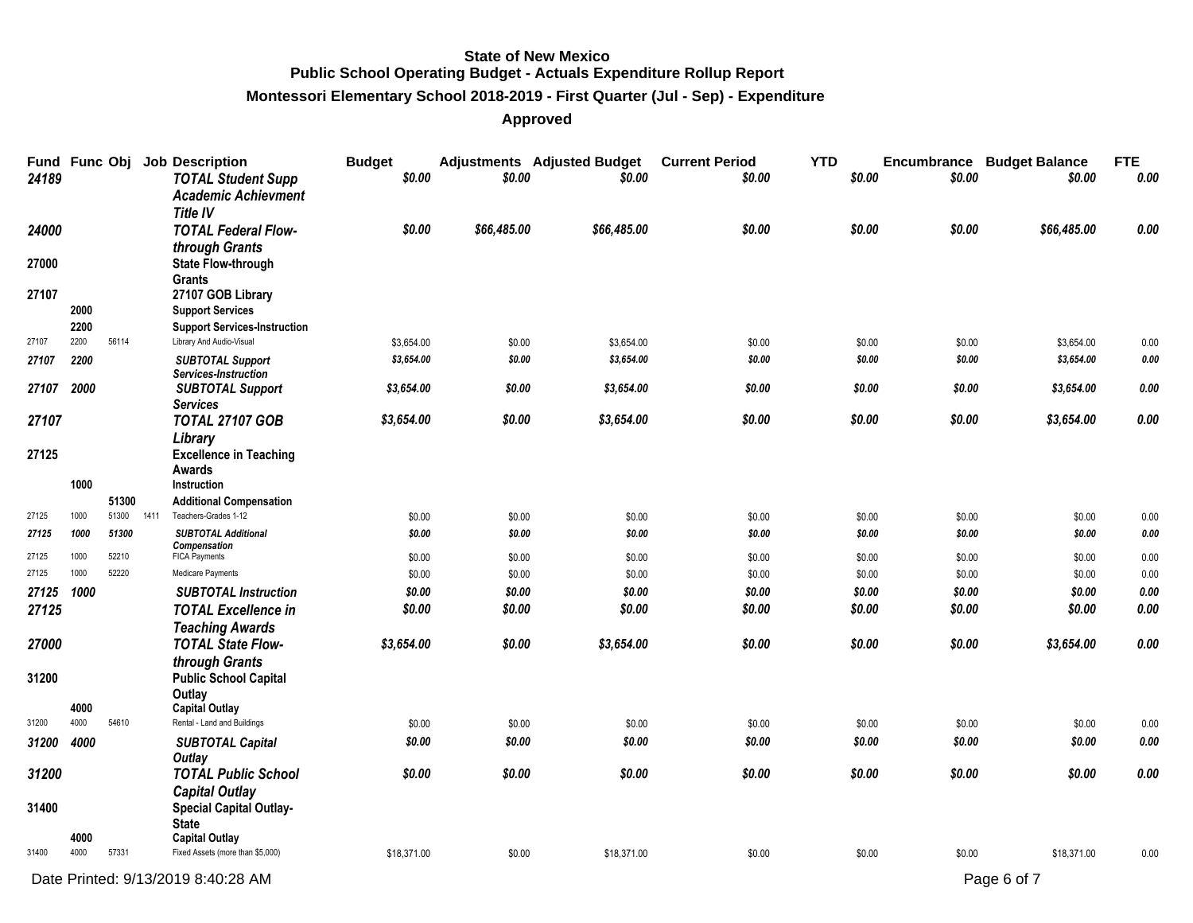#### **Montessori Elementary School 2018-2019 - First Quarter (Jul - Sep) - Expenditure**

| 24189 |              |       |      | Fund Func Obj Job Description<br><b>TOTAL Student Supp</b><br><b>Academic Achievment</b><br><b>Title IV</b> | <b>Budget</b><br>\$0.00  | \$0.00           | <b>Adjustments</b> Adjusted Budget<br>\$0.00 | <b>Current Period</b><br>\$0.00 | <b>YTD</b><br>\$0.00 | \$0.00           | <b>Encumbrance Budget Balance</b><br>\$0.00 | <b>FTE</b><br>0.00  |
|-------|--------------|-------|------|-------------------------------------------------------------------------------------------------------------|--------------------------|------------------|----------------------------------------------|---------------------------------|----------------------|------------------|---------------------------------------------|---------------------|
| 24000 |              |       |      | <b>TOTAL Federal Flow-</b>                                                                                  | \$0.00                   | \$66,485.00      | \$66,485.00                                  | \$0.00                          | \$0.00               | \$0.00           | \$66,485.00                                 | 0.00                |
|       |              |       |      | through Grants                                                                                              |                          |                  |                                              |                                 |                      |                  |                                             |                     |
| 27000 |              |       |      | <b>State Flow-through</b><br>Grants                                                                         |                          |                  |                                              |                                 |                      |                  |                                             |                     |
| 27107 |              |       |      | 27107 GOB Library                                                                                           |                          |                  |                                              |                                 |                      |                  |                                             |                     |
|       | 2000         |       |      | <b>Support Services</b>                                                                                     |                          |                  |                                              |                                 |                      |                  |                                             |                     |
|       | 2200<br>2200 | 56114 |      | <b>Support Services-Instruction</b>                                                                         |                          |                  |                                              |                                 |                      |                  |                                             |                     |
| 27107 |              |       |      | Library And Audio-Visual                                                                                    | \$3,654.00<br>\$3,654.00 | \$0.00<br>\$0.00 | \$3,654.00                                   | \$0.00<br>\$0.00                | \$0.00<br>\$0.00     | \$0.00<br>\$0.00 | \$3,654.00<br>\$3,654.00                    | 0.00<br>$\it{0.00}$ |
| 27107 | 2200         |       |      | <b>SUBTOTAL Support</b><br>Services-Instruction                                                             |                          |                  | \$3,654.00                                   |                                 |                      |                  |                                             |                     |
| 27107 | 2000         |       |      | <b>SUBTOTAL Support</b><br><b>Services</b>                                                                  | \$3,654.00               | \$0.00           | \$3,654.00                                   | \$0.00                          | \$0.00               | \$0.00           | \$3,654.00                                  | $0.00\,$            |
| 27107 |              |       |      | <b>TOTAL 27107 GOB</b>                                                                                      | \$3,654.00               | \$0.00           | \$3,654.00                                   | \$0.00                          | \$0.00               | \$0.00           | \$3,654.00                                  | 0.00                |
|       |              |       |      | Library                                                                                                     |                          |                  |                                              |                                 |                      |                  |                                             |                     |
| 27125 |              |       |      | <b>Excellence in Teaching</b>                                                                               |                          |                  |                                              |                                 |                      |                  |                                             |                     |
|       | 1000         |       |      | Awards<br>Instruction                                                                                       |                          |                  |                                              |                                 |                      |                  |                                             |                     |
|       |              | 51300 |      | <b>Additional Compensation</b>                                                                              |                          |                  |                                              |                                 |                      |                  |                                             |                     |
| 27125 | 1000         | 51300 | 1411 | Teachers-Grades 1-12                                                                                        | \$0.00                   | \$0.00           | \$0.00                                       | \$0.00                          | \$0.00               | \$0.00           | \$0.00                                      | 0.00                |
| 27125 | 1000         | 51300 |      | <b>SUBTOTAL Additional</b>                                                                                  | \$0.00                   | \$0.00           | \$0.00                                       | \$0.00                          | \$0.00               | \$0.00           | \$0.00                                      | 0.00                |
| 27125 | 1000         | 52210 |      | Compensation<br><b>FICA Payments</b>                                                                        | \$0.00                   | \$0.00           | \$0.00                                       | \$0.00                          | \$0.00               | \$0.00           | \$0.00                                      | 0.00                |
| 27125 | 1000         | 52220 |      | Medicare Payments                                                                                           | \$0.00                   | \$0.00           | \$0.00                                       | \$0.00                          | \$0.00               | \$0.00           | \$0.00                                      | 0.00                |
| 27125 | 1000         |       |      | <b>SUBTOTAL Instruction</b>                                                                                 | \$0.00                   | \$0.00           | \$0.00                                       | \$0.00                          | \$0.00               | \$0.00           | \$0.00                                      | 0.00                |
| 27125 |              |       |      | <b>TOTAL Excellence in</b>                                                                                  | \$0.00                   | \$0.00           | \$0.00                                       | \$0.00                          | \$0.00               | \$0.00           | \$0.00                                      | 0.00                |
|       |              |       |      | <b>Teaching Awards</b>                                                                                      |                          |                  |                                              |                                 |                      |                  |                                             |                     |
| 27000 |              |       |      | <b>TOTAL State Flow-</b>                                                                                    | \$3,654.00               | \$0.00           | \$3,654.00                                   | \$0.00                          | \$0.00               | \$0.00           | \$3,654.00                                  | 0.00                |
|       |              |       |      | through Grants                                                                                              |                          |                  |                                              |                                 |                      |                  |                                             |                     |
| 31200 |              |       |      | <b>Public School Capital</b>                                                                                |                          |                  |                                              |                                 |                      |                  |                                             |                     |
|       |              |       |      | Outlay                                                                                                      |                          |                  |                                              |                                 |                      |                  |                                             |                     |
|       | 4000<br>4000 |       |      | <b>Capital Outlay</b>                                                                                       |                          |                  |                                              |                                 |                      |                  |                                             |                     |
| 31200 |              | 54610 |      | Rental - Land and Buildings                                                                                 | \$0.00                   | \$0.00           | \$0.00                                       | \$0.00                          | \$0.00               | \$0.00           | \$0.00                                      | 0.00                |
| 31200 | 4000         |       |      | <b>SUBTOTAL Capital</b><br><b>Outlay</b>                                                                    | \$0.00                   | \$0.00           | \$0.00                                       | \$0.00                          | \$0.00               | \$0.00           | \$0.00                                      | 0.00                |
| 31200 |              |       |      | <b>TOTAL Public School</b>                                                                                  | \$0.00                   | \$0.00           | \$0.00                                       | \$0.00                          | \$0.00               | \$0.00           | \$0.00                                      | 0.00                |
|       |              |       |      | <b>Capital Outlay</b>                                                                                       |                          |                  |                                              |                                 |                      |                  |                                             |                     |
| 31400 |              |       |      | <b>Special Capital Outlay-</b>                                                                              |                          |                  |                                              |                                 |                      |                  |                                             |                     |
|       |              |       |      | <b>State</b>                                                                                                |                          |                  |                                              |                                 |                      |                  |                                             |                     |
| 31400 | 4000<br>4000 | 57331 |      | <b>Capital Outlay</b><br>Fixed Assets (more than \$5,000)                                                   | \$18,371.00              | \$0.00           | \$18,371.00                                  | \$0.00                          | \$0.00               | \$0.00           | \$18,371.00                                 | 0.00                |
|       |              |       |      |                                                                                                             |                          |                  |                                              |                                 |                      |                  |                                             |                     |
|       |              |       |      | Date Printed: 9/13/2019 8:40:28 AM                                                                          |                          |                  |                                              |                                 |                      |                  | Page 6 of 7                                 |                     |